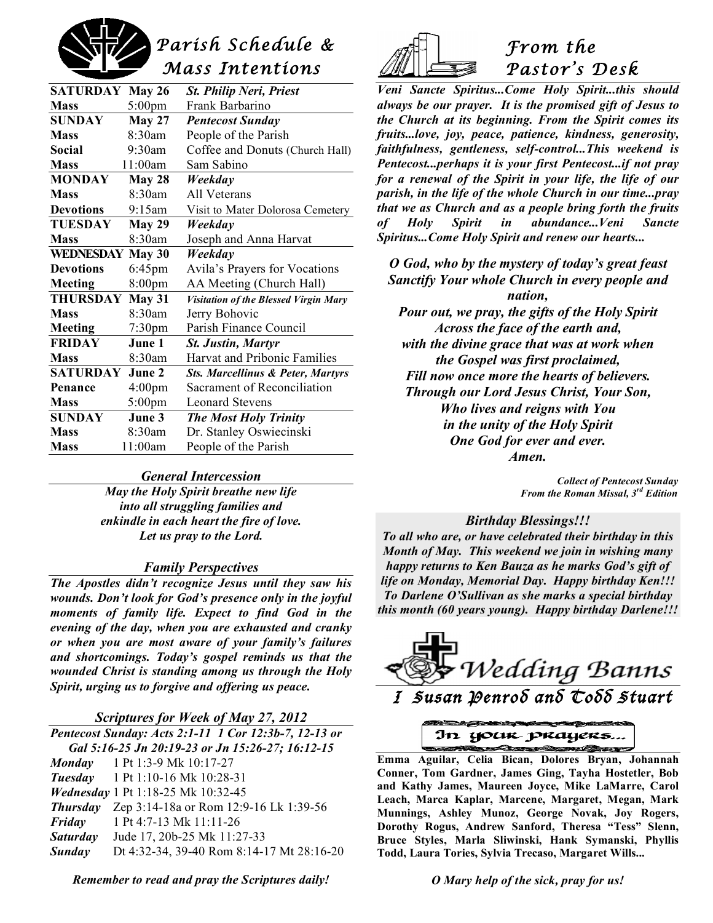

| <b>SATURDAY</b>         | <b>May 26</b>      | <b>St. Philip Neri, Priest</b>               |
|-------------------------|--------------------|----------------------------------------------|
| <b>Mass</b>             | 5:00pm             | Frank Barbarino                              |
| <b>SUNDAY</b>           | <b>May 27</b>      | <b>Pentecost Sunday</b>                      |
| <b>Mass</b>             | $8:30$ am          | People of the Parish                         |
| Social                  | 9:30am             | Coffee and Donuts (Church Hall)              |
| <b>Mass</b>             | 11:00am            | Sam Sabino                                   |
| <b>MONDAY</b>           | <b>May 28</b>      | Weekday                                      |
| <b>Mass</b>             | $8.30$ am          | All Veterans                                 |
| <b>Devotions</b>        | 9:15am             | Visit to Mater Dolorosa Cemetery             |
| <b>TUESDAY</b>          | <b>May 29</b>      | Weekdav                                      |
| <b>Mass</b>             | 8:30am             | Joseph and Anna Harvat                       |
| <b>WEDNESDAY May 30</b> |                    | Weekdav                                      |
| <b>Devotions</b>        | $6:45$ pm          | Avila's Prayers for Vocations                |
| Meeting                 | 8:00pm             | AA Meeting (Church Hall)                     |
| <b>THURSDAY</b>         | May 31             | Visitation of the Blessed Virgin Mary        |
| <b>Mass</b>             | 8:30am             | Jerry Bohovic                                |
| Meeting                 | $7:30$ pm          | Parish Finance Council                       |
| <b>FRIDAY</b>           | June 1             | <b>St. Justin, Martyr</b>                    |
| <b>Mass</b>             | 8:30am             | Harvat and Pribonic Families                 |
| <b>SATURDAY</b>         | June 2             | <b>Sts. Marcellinus &amp; Peter, Martyrs</b> |
| Penance                 | 4:00 <sub>pm</sub> | Sacrament of Reconciliation                  |
| <b>Mass</b>             | 5:00pm             | <b>Leonard Stevens</b>                       |
| <b>SUNDAY</b>           | June 3             | <b>The Most Holy Trinity</b>                 |
| <b>Mass</b>             | 8:30am             | Dr. Stanley Oswiecinski                      |
| <b>Mass</b>             | 11:00am            | People of the Parish                         |

#### *General Intercession*

*May the Holy Spirit breathe new life into all struggling families and enkindle in each heart the fire of love. Let us pray to the Lord.*

#### *Family Perspectives*

*The Apostles didn't recognize Jesus until they saw his wounds. Don't look for God's presence only in the joyful moments of family life. Expect to find God in the evening of the day, when you are exhausted and cranky or when you are most aware of your family's failures and shortcomings. Today's gospel reminds us that the wounded Christ is standing among us through the Holy Spirit, urging us to forgive and offering us peace.*

#### *Scriptures for Week of May 27, 2012*

*Pentecost Sunday: Acts 2:1-11 1 Cor 12:3b-7, 12-13 or Gal 5:16-25 Jn 20:19-23 or Jn 15:26-27; 16:12-15 Monday* 1 Pt 1:3-9 Mk 10:17-27 *Tuesday* 1 Pt 1:10-16 Mk 10:28-31 *Wednesday* 1 Pt 1:18-25 Mk 10:32-45 *Thursday* Zep 3:14-18a or Rom 12:9-16 Lk 1:39-56 *Friday* 1 Pt 4:7-13 Mk 11:11-26 *Saturday* Jude 17, 20b-25 Mk 11:27-33 *Sunday* Dt 4:32-34, 39-40 Rom 8:14-17 Mt 28:16-20

*Remember to read and pray the Scriptures daily!*



# *From the Pastor's Desk*

*Veni Sancte Spiritus...Come Holy Spirit...this should always be our prayer. It is the promised gift of Jesus to the Church at its beginning. From the Spirit comes its fruits...love, joy, peace, patience, kindness, generosity, faithfulness, gentleness, self-control...This weekend is Pentecost...perhaps it is your first Pentecost...if not pray for a renewal of the Spirit in your life, the life of our parish, in the life of the whole Church in our time...pray that we as Church and as a people bring forth the fruits of Holy Spirit in abundance...Veni Sancte Spiritus...Come Holy Spirit and renew our hearts...*

*O God, who by the mystery of today's great feast Sanctify Your whole Church in every people and nation, Pour out, we pray, the gifts of the Holy Spirit Across the face of the earth and, with the divine grace that was at work when the Gospel was first proclaimed, Fill now once more the hearts of believers. Through our Lord Jesus Christ, Your Son, Who lives and reigns with You in the unity of the Holy Spirit One God for ever and ever.*

*Amen.*

*Collect of Pentecost Sunday From the Roman Missal, 3rd Edition*

#### *Birthday Blessings!!!*

*To all who are, or have celebrated their birthday in this Month of May. This weekend we join in wishing many happy returns to Ken Bauza as he marks God's gift of life on Monday, Memorial Day. Happy birthday Ken!!! To Darlene O'Sullivan as she marks a special birthday this month (60 years young). Happy birthday Darlene!!!*



In your prayers

 **Emma Aguilar, Celia Bican, Dolores Bryan, Johannah Conner, Tom Gardner, James Ging, Tayha Hostetler, Bob and Kathy James, Maureen Joyce, Mike LaMarre, Carol Leach, Marca Kaplar, Marcene, Margaret, Megan, Mark Munnings, Ashley Munoz, George Novak, Joy Rogers, Dorothy Rogus, Andrew Sanford, Theresa "Tess" Slenn, Bruce Styles, Marla Sliwinski, Hank Symanski, Phyllis Todd, Laura Tories, Sylvia Trecaso, Margaret Wills...**

*O Mary help of the sick, pray for us!*